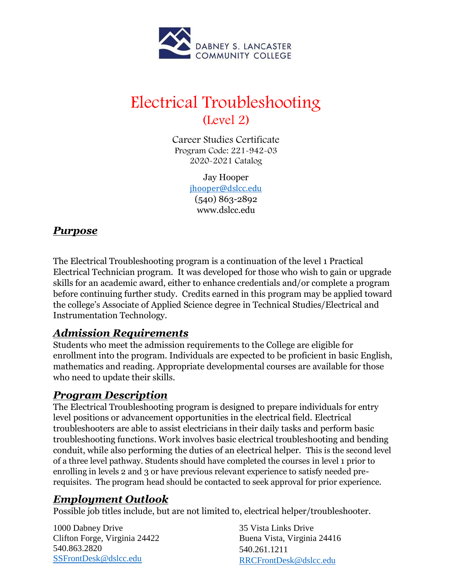

# Electrical Troubleshooting (Level 2)

Career Studies Certificate Program Code: 221-942-03 2020-2021 Catalog

> Jay Hooper [jhooper@dslcc.edu](mailto:jhooper@dslcc.edu) (540) 863-2892 [www.dslcc.edu](http://www.dslcc.edu/)

# *Purpose*

The Electrical Troubleshooting program is a continuation of the level 1 Practical Electrical Technician program. It was developed for those who wish to gain or upgrade skills for an academic award, either to enhance credentials and/or complete a program before continuing further study. Credits earned in this program may be applied toward the college's Associate of Applied Science degree in Technical Studies/Electrical and Instrumentation Technology.

# *Admission Requirements*

Students who meet the admission requirements to the College are eligible for enrollment into the program. Individuals are expected to be proficient in basic English, mathematics and reading. Appropriate developmental courses are available for those who need to update their skills.

# *Program Description*

The Electrical Troubleshooting program is designed to prepare individuals for entry level positions or advancement opportunities in the electrical field. Electrical troubleshooters are able to assist electricians in their daily tasks and perform basic troubleshooting functions. Work involves basic electrical troubleshooting and bending conduit, while also performing the duties of an electrical helper. This is the second level of a three level pathway. Students should have completed the courses in level 1 prior to enrolling in levels 2 and 3 or have previous relevant experience to satisfy needed prerequisites. The program head should be contacted to seek approval for prior experience.

# *Employment Outlook*

Possible job titles include, but are not limited to, electrical helper/troubleshooter.

1000 Dabney Drive Clifton Forge, Virginia 24422 540.863.2820 [SSFrontDesk@dslcc.edu](mailto:SSFrontDesk@dslcc.edu)

35 Vista Links Drive Buena Vista, Virginia 24416 540.261.1211 [RRCFrontDesk@dslcc.edu](mailto:RRCFrontDesk@dslcc.edu)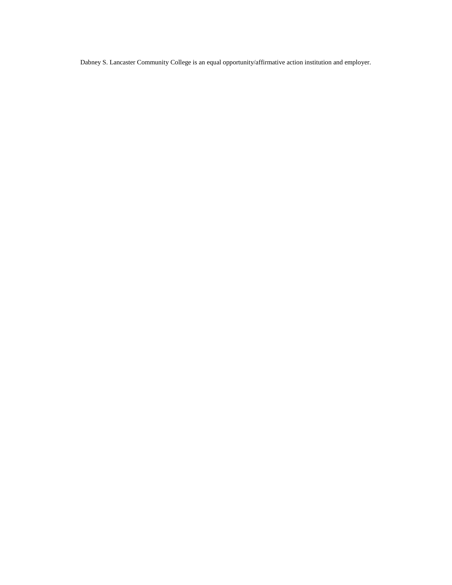Dabney S. Lancaster Community College is an equal opportunity/affirmative action institution and employer.